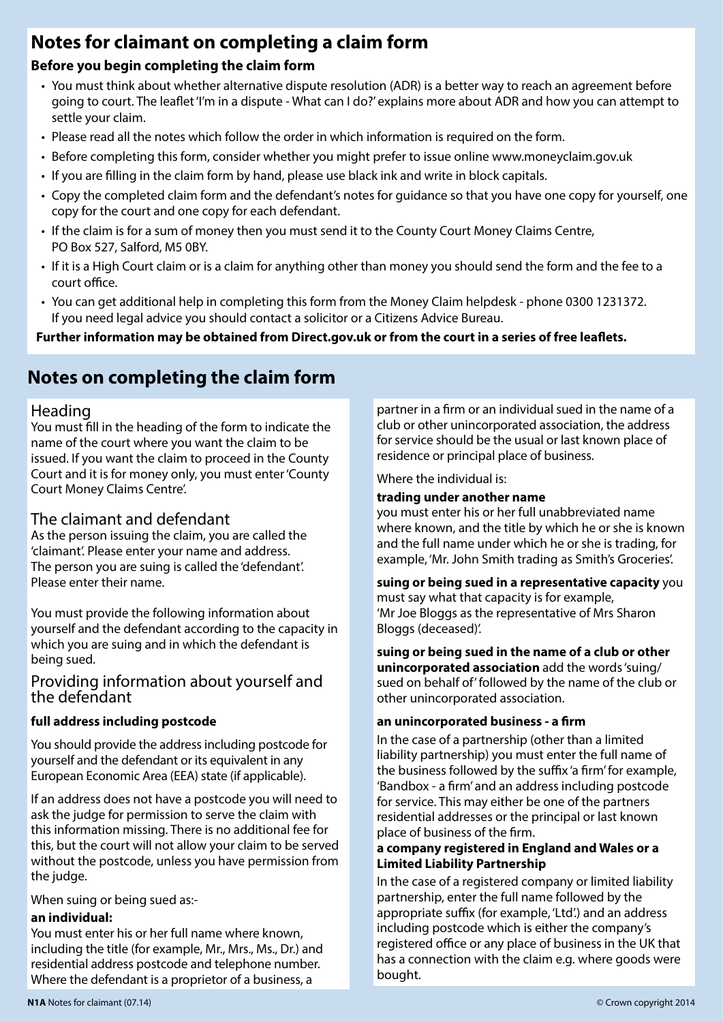# **Notes for claimant on completing a claim form**

### **Before you begin completing the claim form**

- You must think about whether alternative dispute resolution (ADR) is a better way to reach an agreement before going to court. The leaflet 'I'm in a dispute - What can I do?' explains more about ADR and how you can attempt to settle your claim.
- Please read all the notes which follow the order in which information is required on the form.
- Before completing this form, consider whether you might prefer to issue online www.moneyclaim.gov.uk
- If you are filling in the claim form by hand, please use black ink and write in block capitals.
- Copy the completed claim form and the defendant's notes for guidance so that you have one copy for yourself, one copy for the court and one copy for each defendant.
- If the claim is for a sum of money then you must send it to the County Court Money Claims Centre, PO Box 527, Salford, M5 0BY.
- If it is a High Court claim or is a claim for anything other than money you should send the form and the fee to a court office.
- You can get additional help in completing this form from the Money Claim helpdesk phone 0300 1231372. If you need legal advice you should contact a solicitor or a Citizens Advice Bureau.

**Further information may be obtained from Direct.gov.uk or from the court in a series of free leaflets.**

# **Notes on completing the claim form**

### Heading

You must fill in the heading of the form to indicate the name of the court where you want the claim to be issued. If you want the claim to proceed in the County Court and it is for money only, you must enter 'County Court Money Claims Centre'.

# The claimant and defendant

As the person issuing the claim, you are called the 'claimant'. Please enter your name and address. The person you are suing is called the 'defendant'. Please enter their name.

You must provide the following information about yourself and the defendant according to the capacity in which you are suing and in which the defendant is being sued.

### Providing information about yourself and the defendant

### **full address including postcode**

You should provide the address including postcode for yourself and the defendant or its equivalent in any European Economic Area (EEA) state (if applicable).

If an address does not have a postcode you will need to ask the judge for permission to serve the claim with this information missing. There is no additional fee for this, but the court will not allow your claim to be served without the postcode, unless you have permission from the judge.

When suing or being sued as:-

### **an individual:**

You must enter his or her full name where known, including the title (for example, Mr., Mrs., Ms., Dr.) and residential address postcode and telephone number. Where the defendant is a proprietor of a business, a

partner in a firm or an individual sued in the name of a club or other unincorporated association, the address for service should be the usual or last known place of residence or principal place of business.

Where the individual is:

### **trading under another name**

you must enter his or her full unabbreviated name where known, and the title by which he or she is known and the full name under which he or she is trading, for example, 'Mr. John Smith trading as Smith's Groceries'.

**suing or being sued in a representative capacity** you must say what that capacity is for example, 'Mr Joe Bloggs as the representative of Mrs Sharon Bloggs (deceased)'.

**suing or being sued in the name of a club or other unincorporated association** add the words 'suing/ sued on behalf of' followed by the name of the club or other unincorporated association.

### **an unincorporated business - a firm**

In the case of a partnership (other than a limited liability partnership) you must enter the full name of the business followed by the suffix 'a firm' for example, 'Bandbox - a firm' and an address including postcode for service. This may either be one of the partners residential addresses or the principal or last known place of business of the firm.

#### **a company registered in England and Wales or a Limited Liability Partnership**

In the case of a registered company or limited liability partnership, enter the full name followed by the appropriate suffix (for example, 'Ltd'.) and an address including postcode which is either the company's registered office or any place of business in the UK that has a connection with the claim e.g. where goods were bought.